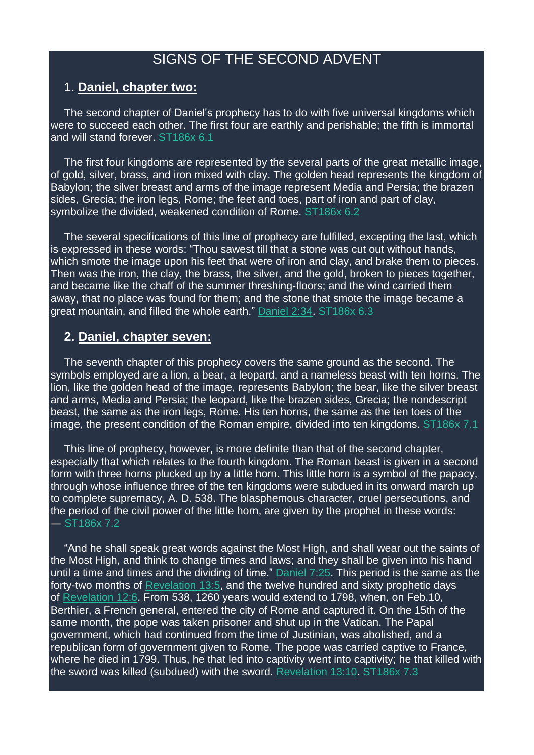# SIGNS OF THE SECOND ADVENT

### 1. **Daniel, chapter two:**

The second chapter of Daniel's prophecy has to do with five universal kingdoms which were to succeed each other. The first four are earthly and perishable; the fifth is immortal and will stand forever. ST186x 6.1

The first four kingdoms are represented by the several parts of the great metallic image, of gold, silver, brass, and iron mixed with clay. The golden head represents the kingdom of Babylon; the silver breast and arms of the image represent Media and Persia; the brazen sides, Grecia; the iron legs, Rome; the feet and toes, part of iron and part of clay, symbolize the divided, weakened condition of Rome. ST186x 6.2

The several specifications of this line of prophecy are fulfilled, excepting the last, which is expressed in these words: "Thou sawest till that a stone was cut out without hands, which smote the image upon his feet that were of iron and clay, and brake them to pieces. Then was the iron, the clay, the brass, the silver, and the gold, broken to pieces together, and became like the chaff of the summer threshing-floors; and the wind carried them away, that no place was found for them; and the stone that smote the image became a great mountain, and filled the whole earth." [Daniel](https://m.egwwritings.org/en/book/1965.44466#44466) 2:34. ST186x 6.3

### **2. Daniel, chapter seven:**

The seventh chapter of this prophecy covers the same ground as the second. The symbols employed are a lion, a bear, a leopard, and a nameless beast with ten horns. The lion, like the golden head of the image, represents Babylon; the bear, like the silver breast and arms, Media and Persia; the leopard, like the brazen sides, Grecia; the nondescript beast, the same as the iron legs, Rome. His ten horns, the same as the ten toes of the image, the present condition of the Roman empire, divided into ten kingdoms. ST186x 7.1

This line of prophecy, however, is more definite than that of the second chapter, especially that which relates to the fourth kingdom. The Roman beast is given in a second form with three horns plucked up by a little horn. This little horn is a symbol of the papacy, through whose influence three of the ten kingdoms were subdued in its onward march up to complete supremacy, A. D. 538. The blasphemous character, cruel persecutions, and the period of the civil power of the little horn, are given by the prophet in these words: — ST186x 7.2

"And he shall speak great words against the Most High, and shall wear out the saints of the Most High, and think to change times and laws; and they shall be given into his hand until a time and times and the dividing of time." [Daniel](https://m.egwwritings.org/en/book/1965.44803#44803) 7:25. This period is the same as the forty-two months of [Revelation](https://m.egwwritings.org/en/book/1965.63075#63075) 13:5, and the twelve hundred and sixty prophetic days of [Revelation](https://m.egwwritings.org/en/book/1965.63042#63042) 12:6. From 538, 1260 years would extend to 1798, when, on Feb.10, Berthier, a French general, entered the city of Rome and captured it. On the 15th of the same month, the pope was taken prisoner and shut up in the Vatican. The Papal government, which had continued from the time of Justinian, was abolished, and a republican form of government given to Rome. The pope was carried captive to France, where he died in 1799. Thus, he that led into captivity went into captivity; he that killed with the sword was killed (subdued) with the sword. [Revelation](https://m.egwwritings.org/en/book/1965.63085#63085) 13:10. ST186x 7.3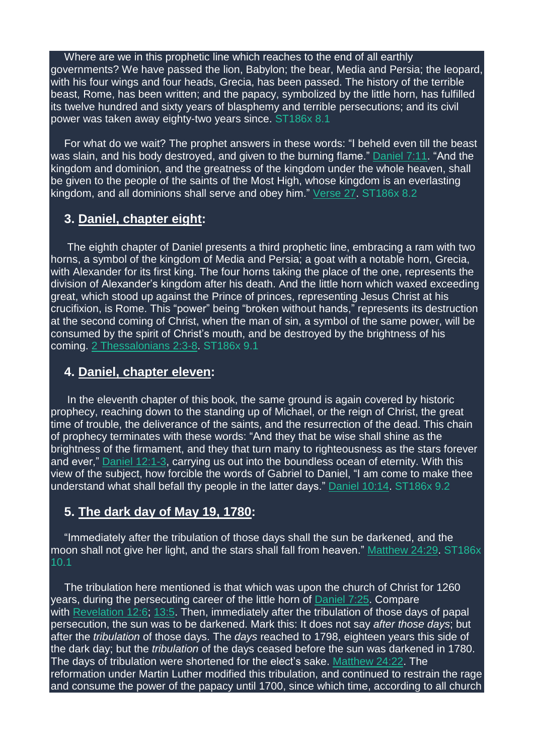#### Where are we in this prophetic line which reaches to the end of all earthly

governments? We have passed the lion, Babylon; the bear, Media and Persia; the leopard, with his four wings and four heads, Grecia, has been passed. The history of the terrible beast, Rome, has been written; and the papacy, symbolized by the little horn, has fulfilled its twelve hundred and sixty years of blasphemy and terrible persecutions; and its civil power was taken away eighty-two years since. ST186x 8.1

For what do we wait? The prophet answers in these words: "I beheld even till the beast was slain, and his body destroyed, and given to the burning flame." [Daniel](https://m.egwwritings.org/en/book/1965.44775#44775) 7:11. "And the kingdom and dominion, and the greatness of the kingdom under the whole heaven, shall be given to the people of the saints of the Most High, whose kingdom is an everlasting kingdom, and all dominions shall serve and obey him." [Verse](https://m.egwwritings.org/en/book/1965.44807#44807) 27. ST186x 8.2

## **3. Daniel, chapter eight:**

The eighth chapter of Daniel presents a third prophetic line, embracing a ram with two horns, a symbol of the kingdom of Media and Persia; a goat with a notable horn, Grecia, with Alexander for its first king. The four horns taking the place of the one, represents the division of Alexander's kingdom after his death. And the little horn which waxed exceeding great, which stood up against the Prince of princes, representing Jesus Christ at his crucifixion, is Rome. This "power" being "broken without hands," represents its destruction at the second coming of Christ, when the man of sin, a symbol of the same power, will be consumed by the spirit of Christ's mouth, and be destroyed by the brightness of his coming. 2 [Thessalonians](https://m.egwwritings.org/en/book/1965.60502#60502) 2:3-8. ST186x 9.1

## **4. Daniel, chapter eleven:**

In the eleventh chapter of this book, the same ground is again covered by historic prophecy, reaching down to the standing up of Michael, or the reign of Christ, the great time of trouble, the deliverance of the saints, and the resurrection of the dead. This chain of prophecy terminates with these words: "And they that be wise shall shine as the brightness of the firmament, and they that turn many to righteousness as the stars forever and ever," Daniel [12:1-3,](https://m.egwwritings.org/en/book/1965.45056#45056) carrying us out into the boundless ocean of eternity. With this view of the subject, how forcible the words of Gabriel to Daniel, "I am come to make thee understand what shall befall thy people in the latter days." [Daniel](https://m.egwwritings.org/en/book/1965.44948#44948) 10:14. ST186x 9.2

# **5. The dark day of May 19, 1780:**

"Immediately after the tribulation of those days shall the sun be darkened, and the moon shall not give her light, and the stars shall fall from heaven." [Matthew](https://m.egwwritings.org/en/book/1965.48968#48968) 24:29. ST186x 10.1

The tribulation here mentioned is that which was upon the church of Christ for 1260 years, during the persecuting career of the little horn of [Daniel](https://m.egwwritings.org/en/book/1965.44803#44803) 7:25. Compare with [Revelation](https://m.egwwritings.org/en/book/1965.63042#63042) 12:6; [13:5.](https://m.egwwritings.org/en/book/1965.63075#63075) Then, immediately after the tribulation of those days of papal persecution, the sun was to be darkened. Mark this: It does not say *after those days*; but after the *tribulation* of those days. The *days* reached to 1798, eighteen years this side of the dark day; but the *tribulation* of the days ceased before the sun was darkened in 1780. The days of tribulation were shortened for the elect's sake. [Matthew](https://m.egwwritings.org/en/book/1965.48954#48954) 24:22. The reformation under Martin Luther modified this tribulation, and continued to restrain the rage and consume the power of the papacy until 1700, since which time, according to all church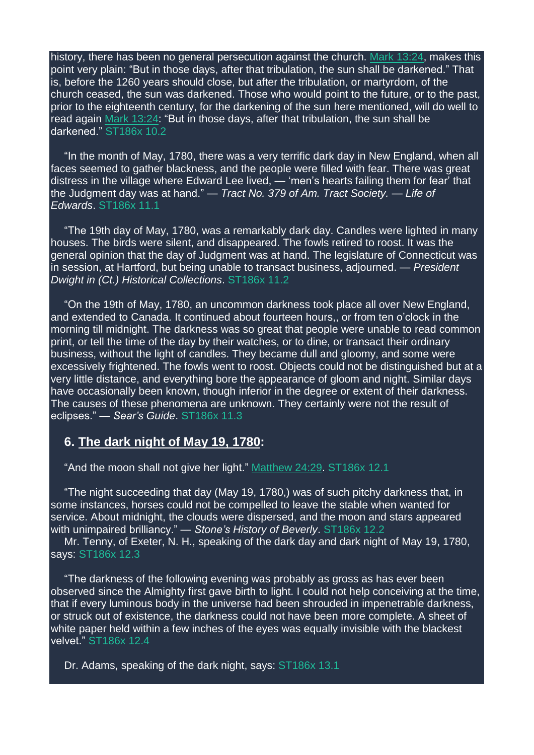history, there has been no general persecution against the church. Mark [13:24,](https://m.egwwritings.org/en/book/1965.50496#50496) makes this point very plain: "But in those days, after that tribulation, the sun shall be darkened." That is, before the 1260 years should close, but after the tribulation, or martyrdom, of the church ceased, the sun was darkened. Those who would point to the future, or to the past, prior to the eighteenth century, for the darkening of the sun here mentioned, will do well to read again Mark [13:24:](https://m.egwwritings.org/en/book/1965.50496#50496) "But in those days, after that tribulation, the sun shall be darkened." ST186x 10.2

"In the month of May, 1780, there was a very terrific dark day in New England, when all faces seemed to gather blackness, and the people were filled with fear. There was great distress in the village where Edward Lee lived, — 'men's hearts failing them for fear' that the Judgment day was at hand." — *Tract No. 379 of Am. Tract Society. — Life of Edwards*. ST186x 11.1

"The 19th day of May, 1780, was a remarkably dark day. Candles were lighted in many houses. The birds were silent, and disappeared. The fowls retired to roost. It was the general opinion that the day of Judgment was at hand. The legislature of Connecticut was in session, at Hartford, but being unable to transact business, adjourned. — *President Dwight in (Ct.) Historical Collections*. ST186x 11.2

"On the 19th of May, 1780, an uncommon darkness took place all over New England, and extended to Canada. It continued about fourteen hours,, or from ten o'clock in the morning till midnight. The darkness was so great that people were unable to read common print, or tell the time of the day by their watches, or to dine, or transact their ordinary business, without the light of candles. They became dull and gloomy, and some were excessively frightened. The fowls went to roost. Objects could not be distinguished but at a very little distance, and everything bore the appearance of gloom and night. Similar days have occasionally been known, though inferior in the degree or extent of their darkness. The causes of these phenomena are unknown. They certainly were not the result of eclipses." — *Sear's Guide*. ST186x 11.3

#### **6. The dark night of May 19, 1780:**

"And the moon shall not give her light." [Matthew](https://m.egwwritings.org/en/book/1965.48968#48968) 24:29. ST186x 12.1

"The night succeeding that day (May 19, 1780,) was of such pitchy darkness that, in some instances, horses could not be compelled to leave the stable when wanted for service. About midnight, the clouds were dispersed, and the moon and stars appeared with unimpaired brilliancy." — *Stone's History of Beverly*. ST186x 12.2

Mr. Tenny, of Exeter, N. H., speaking of the dark day and dark night of May 19, 1780, says: ST186x 12.3

"The darkness of the following evening was probably as gross as has ever been observed since the Almighty first gave birth to light. I could not help conceiving at the time, that if every luminous body in the universe had been shrouded in impenetrable darkness, or struck out of existence, the darkness could not have been more complete. A sheet of white paper held within a few inches of the eyes was equally invisible with the blackest velvet." ST186x 12.4

Dr. Adams, speaking of the dark night, says: ST186x 13.1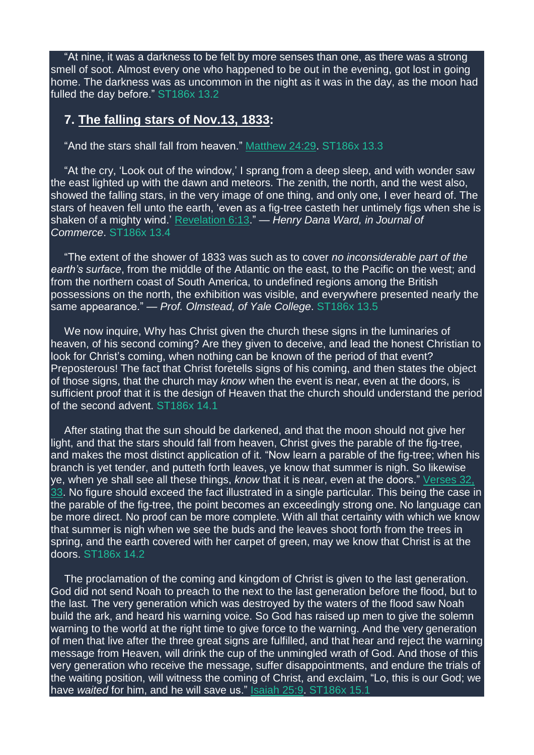"At nine, it was a darkness to be felt by more senses than one, as there was a strong smell of soot. Almost every one who happened to be out in the evening, got lost in going home. The darkness was as uncommon in the night as it was in the day, as the moon had fulled the day before." ST186x 13.2

## **7. The falling stars of Nov.13, 1833:**

"And the stars shall fall from heaven." [Matthew](https://m.egwwritings.org/en/book/1965.48968#48968) 24:29. ST186x 13.3

"At the cry, 'Look out of the window,' I sprang from a deep sleep, and with wonder saw the east lighted up with the dawn and meteors. The zenith, the north, and the west also, showed the falling stars, in the very image of one thing, and only one, I ever heard of. The stars of heaven fell unto the earth, 'even as a fig-tree casteth her untimely figs when she is shaken of a mighty wind.' [Revelation](https://m.egwwritings.org/en/book/1965.62854#62854) 6:13." — *Henry Dana Ward, in Journal of Commerce*. ST186x 13.4

"The extent of the shower of 1833 was such as to cover *no inconsiderable part of the earth's surface*, from the middle of the Atlantic on the east, to the Pacific on the west; and from the northern coast of South America, to undefined regions among the British possessions on the north, the exhibition was visible, and everywhere presented nearly the same appearance." — *Prof. Olmstead, of Yale College*. ST186x 13.5

We now inquire, Why has Christ given the church these signs in the luminaries of heaven, of his second coming? Are they given to deceive, and lead the honest Christian to look for Christ's coming, when nothing can be known of the period of that event? Preposterous! The fact that Christ foretells signs of his coming, and then states the object of those signs, that the church may *know* when the event is near, even at the doors, is sufficient proof that it is the design of Heaven that the church should understand the period of the second advent. ST186x 14.1

After stating that the sun should be darkened, and that the moon should not give her light, and that the stars should fall from heaven, Christ gives the parable of the fig-tree, and makes the most distinct application of it. "Now learn a parable of the fig-tree; when his branch is yet tender, and putteth forth leaves, ye know that summer is nigh. So likewise ye, when ye shall see all these things, *know* that it is near, even at the doors." [Verses](https://m.egwwritings.org/en/book/1965.48974#48974) 32, [33.](https://m.egwwritings.org/en/book/1965.48974#48974) No figure should exceed the fact illustrated in a single particular. This being the case in the parable of the fig-tree, the point becomes an exceedingly strong one. No language can be more direct. No proof can be more complete. With all that certainty with which we know that summer is nigh when we see the buds and the leaves shoot forth from the trees in spring, and the earth covered with her carpet of green, may we know that Christ is at the doors. ST186x 14.2

The proclamation of the coming and kingdom of Christ is given to the last generation. God did not send Noah to preach to the next to the last generation before the flood, but to the last. The very generation which was destroyed by the waters of the flood saw Noah build the ark, and heard his warning voice. So God has raised up men to give the solemn warning to the world at the right time to give force to the warning. And the very generation of men that live after the three great signs are fulfilled, and that hear and reject the warning message from Heaven, will drink the cup of the unmingled wrath of God. And those of this very generation who receive the message, suffer disappointments, and endure the trials of the waiting position, will witness the coming of Christ, and exclaim, "Lo, this is our God; we have *waited* for him, and he will save us." [Isaiah](https://m.egwwritings.org/en/book/1965.36984#36984) 25:9. ST186x 15.1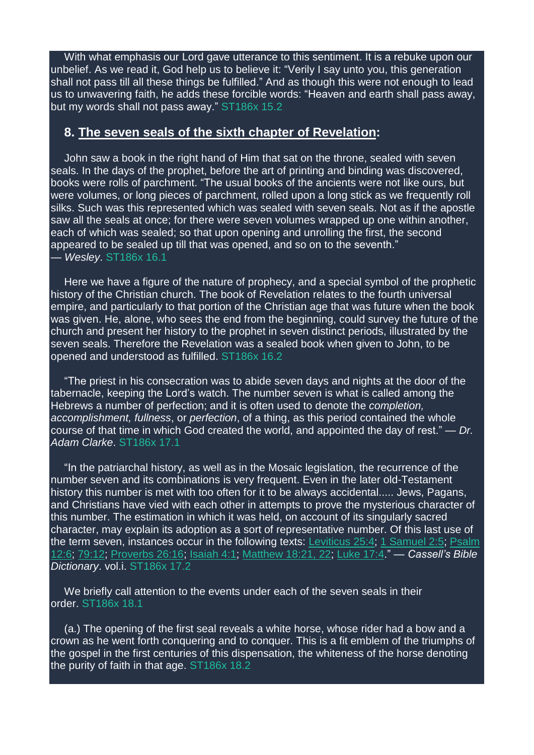With what emphasis our Lord gave utterance to this sentiment. It is a rebuke upon our unbelief. As we read it, God help us to believe it: "Verily I say unto you, this generation shall not pass till all these things be fulfilled." And as though this were not enough to lead us to unwavering faith, he adds these forcible words: "Heaven and earth shall pass away, but my words shall not pass away." ST186x 15.2

### **8. The seven seals of the sixth chapter of Revelation:**

John saw a book in the right hand of Him that sat on the throne, sealed with seven seals. In the days of the prophet, before the art of printing and binding was discovered, books were rolls of parchment. "The usual books of the ancients were not like ours, but were volumes, or long pieces of parchment, rolled upon a long stick as we frequently roll silks. Such was this represented which was sealed with seven seals. Not as if the apostle saw all the seals at once; for there were seven volumes wrapped up one within another, each of which was sealed; so that upon opening and unrolling the first, the second appeared to be sealed up till that was opened, and so on to the seventh." — *Wesley*. ST186x 16.1

Here we have a figure of the nature of prophecy, and a special symbol of the prophetic history of the Christian church. The book of Revelation relates to the fourth universal empire, and particularly to that portion of the Christian age that was future when the book was given. He, alone, who sees the end from the beginning, could survey the future of the church and present her history to the prophet in seven distinct periods, illustrated by the seven seals. Therefore the Revelation was a sealed book when given to John, to be opened and understood as fulfilled. ST186x 16.2

"The priest in his consecration was to abide seven days and nights at the door of the tabernacle, keeping the Lord's watch. The number seven is what is called among the Hebrews a number of perfection; and it is often used to denote the *completion, accomplishment, fullness*, or *perfection*, of a thing, as this period contained the whole course of that time in which God created the world, and appointed the day of rest." — *Dr. Adam Clarke*. ST186x 17.1

"In the patriarchal history, as well as in the Mosaic legislation, the recurrence of the number seven and its combinations is very frequent. Even in the later old-Testament history this number is met with too often for it to be always accidental..... Jews, Pagans, and Christians have vied with each other in attempts to prove the mysterious character of this number. The estimation in which it was held, on account of its singularly sacred character, may explain its adoption as a sort of representative number. Of this last use of the term seven, instances occur in the following texts: [Leviticus](https://m.egwwritings.org/en/book/1965.7067#7067) 25:4; 1 [Samuel](https://m.egwwritings.org/en/book/1965.14740#14740) 2:5; [Psalm](https://m.egwwritings.org/en/book/1965.28656#28656) [12:6;](https://m.egwwritings.org/en/book/1965.28656#28656) [79:12;](https://m.egwwritings.org/en/book/1965.30973#30973) [Proverbs](https://m.egwwritings.org/en/book/1965.34991#34991) 26:16; [Isaiah](https://m.egwwritings.org/en/book/1965.36177#36177) 4:1; [Matthew](https://m.egwwritings.org/en/book/1965.48486#48486) 18:21, 22; [Luke](https://m.egwwritings.org/en/book/1965.52345#52345) 17:4." — *Cassell's Bible Dictionary*. vol.i. ST186x 17.2

We briefly call attention to the events under each of the seven seals in their order. ST186x 18.1

(a.) The opening of the first seal reveals a white horse, whose rider had a bow and a crown as he went forth conquering and to conquer. This is a fit emblem of the triumphs of the gospel in the first centuries of this dispensation, the whiteness of the horse denoting the purity of faith in that age. ST186x 18.2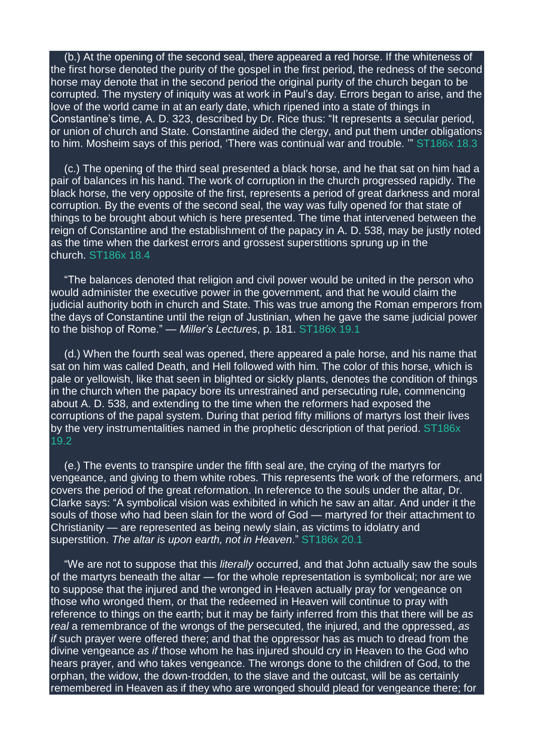(b.) At the opening of the second seal, there appeared a red horse. If the whiteness of the first horse denoted the purity of the gospel in the first period, the redness of the second horse may denote that in the second period the original purity of the church began to be corrupted. The mystery of iniquity was at work in Paul's day. Errors began to arise, and the love of the world came in at an early date, which ripened into a state of things in Constantine's time, A. D. 323, described by Dr. Rice thus: "It represents a secular period, or union of church and State. Constantine aided the clergy, and put them under obligations to him. Mosheim says of this period, 'There was continual war and trouble. '" ST186x 18.3

(c.) The opening of the third seal presented a black horse, and he that sat on him had a pair of balances in his hand. The work of corruption in the church progressed rapidly. The black horse, the very opposite of the first, represents a period of great darkness and moral corruption. By the events of the second seal, the way was fully opened for that state of things to be brought about which is here presented. The time that intervened between the reign of Constantine and the establishment of the papacy in A. D. 538, may be justly noted as the time when the darkest errors and grossest superstitions sprung up in the church. ST186x 18.4

"The balances denoted that religion and civil power would be united in the person who would administer the executive power in the government, and that he would claim the judicial authority both in church and State. This was true among the Roman emperors from the days of Constantine until the reign of Justinian, when he gave the same judicial power to the bishop of Rome." — *Miller's Lectures*, p. 181. ST186x 19.1

(d.) When the fourth seal was opened, there appeared a pale horse, and his name that sat on him was called Death, and Hell followed with him. The color of this horse, which is pale or yellowish, like that seen in blighted or sickly plants, denotes the condition of things in the church when the papacy bore its unrestrained and persecuting rule, commencing about A. D. 538, and extending to the time when the reformers had exposed the corruptions of the papal system. During that period fifty millions of martyrs lost their lives by the very instrumentalities named in the prophetic description of that period. ST186x 19.2

(e.) The events to transpire under the fifth seal are, the crying of the martyrs for vengeance, and giving to them white robes. This represents the work of the reformers, and covers the period of the great reformation. In reference to the souls under the altar, Dr. Clarke says: "A symbolical vision was exhibited in which he saw an altar. And under it the souls of those who had been slain for the word of God — martyred for their attachment to Christianity — are represented as being newly slain, as victims to idolatry and superstition. *The altar is upon earth, not in Heaven*." ST186x 20.1

"We are not to suppose that this *literally* occurred, and that John actually saw the souls of the martyrs beneath the altar — for the whole representation is symbolical; nor are we to suppose that the injured and the wronged in Heaven actually pray for vengeance on those who wronged them, or that the redeemed in Heaven will continue to pray with reference to things on the earth; but it may be fairly inferred from this that there will be *as real* a remembrance of the wrongs of the persecuted, the injured, and the oppressed, *as if* such prayer were offered there; and that the oppressor has as much to dread from the divine vengeance *as if* those whom he has injured should cry in Heaven to the God who hears prayer, and who takes vengeance. The wrongs done to the children of God, to the orphan, the widow, the down-trodden, to the slave and the outcast, will be as certainly remembered in Heaven as if they who are wronged should plead for vengeance there; for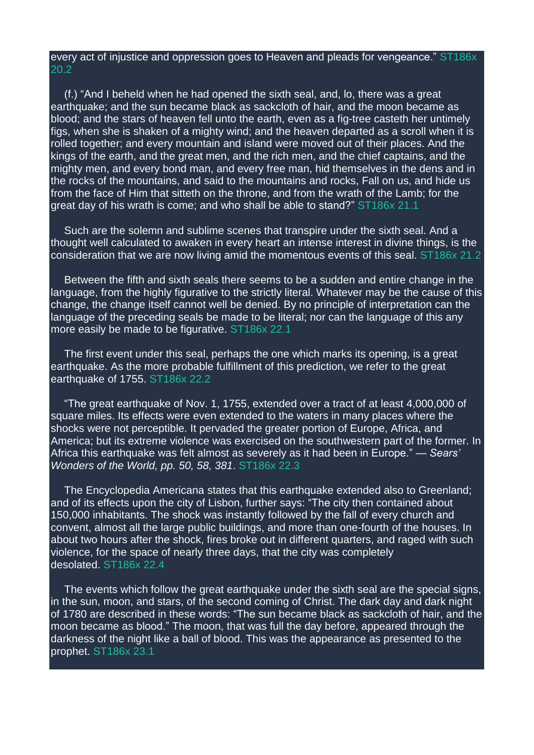#### every act of injustice and oppression goes to Heaven and pleads for vengeance." ST186x 20.2

(f.) "And I beheld when he had opened the sixth seal, and, lo, there was a great earthquake; and the sun became black as sackcloth of hair, and the moon became as blood; and the stars of heaven fell unto the earth, even as a fig-tree casteth her untimely figs, when she is shaken of a mighty wind; and the heaven departed as a scroll when it is rolled together; and every mountain and island were moved out of their places. And the kings of the earth, and the great men, and the rich men, and the chief captains, and the mighty men, and every bond man, and every free man, hid themselves in the dens and in the rocks of the mountains, and said to the mountains and rocks, Fall on us, and hide us from the face of Him that sitteth on the throne, and from the wrath of the Lamb; for the great day of his wrath is come; and who shall be able to stand?" ST186x 21.1

Such are the solemn and sublime scenes that transpire under the sixth seal. And a thought well calculated to awaken in every heart an intense interest in divine things, is the consideration that we are now living amid the momentous events of this seal. ST186x 21.2

Between the fifth and sixth seals there seems to be a sudden and entire change in the language, from the highly figurative to the strictly literal. Whatever may be the cause of this change, the change itself cannot well be denied. By no principle of interpretation can the language of the preceding seals be made to be literal; nor can the language of this any more easily be made to be figurative. ST186x 22.1

The first event under this seal, perhaps the one which marks its opening, is a great earthquake. As the more probable fulfillment of this prediction, we refer to the great earthquake of 1755. ST186x 22.2

"The great earthquake of Nov. 1, 1755, extended over a tract of at least 4,000,000 of square miles. Its effects were even extended to the waters in many places where the shocks were not perceptible. It pervaded the greater portion of Europe, Africa, and America; but its extreme violence was exercised on the southwestern part of the former. In Africa this earthquake was felt almost as severely as it had been in Europe." — *Sears' Wonders of the World, pp. 50, 58, 381*. ST186x 22.3

The Encyclopedia Americana states that this earthquake extended also to Greenland; and of its effects upon the city of Lisbon, further says: "The city then contained about 150,000 inhabitants. The shock was instantly followed by the fall of every church and convent, almost all the large public buildings, and more than one-fourth of the houses. In about two hours after the shock, fires broke out in different quarters, and raged with such violence, for the space of nearly three days, that the city was completely desolated. ST186x 22.4

The events which follow the great earthquake under the sixth seal are the special signs, in the sun, moon, and stars, of the second coming of Christ. The dark day and dark night of 1780 are described in these words: "The sun became black as sackcloth of hair, and the moon became as blood." The moon, that was full the day before, appeared through the darkness of the night like a ball of blood. This was the appearance as presented to the prophet. ST186x 23.1